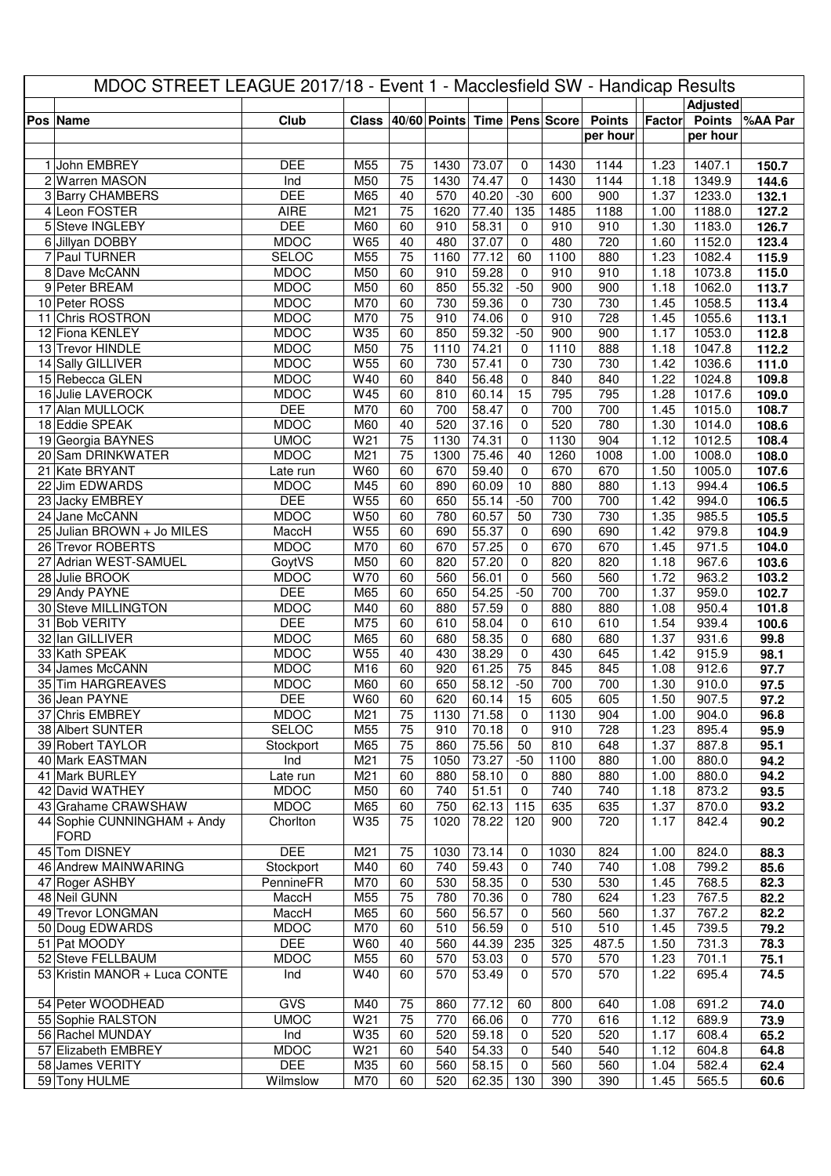| MDOC STREET LEAGUE 2017/18 - Event 1 - Macclesfield SW - Handicap Results |                                        |                           |                        |                       |                              |                    |                      |             |                  |              |                  |                |
|---------------------------------------------------------------------------|----------------------------------------|---------------------------|------------------------|-----------------------|------------------------------|--------------------|----------------------|-------------|------------------|--------------|------------------|----------------|
|                                                                           |                                        |                           |                        |                       |                              |                    |                      |             |                  |              | <b>Adjusted</b>  |                |
|                                                                           | <b>Pos Name</b>                        | Club                      | <b>Class</b>           |                       | 40/60 Points Time Pens Score |                    |                      |             | <b>Points</b>    | Factor       | <b>Points</b>    | %AA Par        |
|                                                                           |                                        |                           |                        |                       |                              |                    |                      |             | per hour         |              | per hour         |                |
|                                                                           |                                        |                           |                        |                       |                              |                    |                      |             |                  |              |                  |                |
|                                                                           | 1 John EMBREY                          | <b>DEE</b>                | M55                    | 75                    | 1430                         | 73.07              | 0                    | 1430        | 1144             | 1.23         | 1407.1           | 150.7          |
|                                                                           | 2 Warren MASON                         | Ind                       | M50                    | 75                    | 1430                         | 74.47              | $\mathbf 0$          | 1430        | 1144             | 1.18         | 1349.9           | 144.6          |
|                                                                           | 3 Barry CHAMBERS                       | <b>DEE</b>                | M65                    | 40                    | 570                          | 40.20              | $-30$                | 600         | 900              | 1.37         | 1233.0           | 132.1          |
|                                                                           | 4 Leon FOSTER                          | <b>AIRE</b><br><b>DEE</b> | M21                    | $\overline{75}$<br>60 | 1620                         | 77.40              | 135                  | 1485        | 1188             | 1.00         | 1188.0           | 127.2          |
|                                                                           | 5 Steve INGLEBY<br>6 Jillyan DOBBY     | <b>MDOC</b>               | M60<br>W65             | 40                    | 910<br>480                   | 58.31<br>37.07     | 0<br>0               | 910<br>480  | 910<br>720       | 1.30<br>1.60 | 1183.0<br>1152.0 | 126.7<br>123.4 |
|                                                                           | 7 Paul TURNER                          | <b>SELOC</b>              | M55                    | 75                    | 1160                         | 77.12              | 60                   | 1100        | 880              | 1.23         | 1082.4           | 115.9          |
|                                                                           | 8 Dave McCANN                          | <b>MDOC</b>               | M50                    | 60                    | 910                          | 59.28              | $\mathbf 0$          | 910         | 910              | 1.18         | 1073.8           | 115.0          |
| 9                                                                         | Peter BREAM                            | <b>MDOC</b>               | M50                    | 60                    | 850                          | 55.32              | $-50$                | 900         | 900              | 1.18         | 1062.0           | 113.7          |
|                                                                           | 10 Peter ROSS                          | <b>MDOC</b>               | M70                    | 60                    | 730                          | 59.36              | 0                    | 730         | 730              | 1.45         | 1058.5           | 113.4          |
|                                                                           | 11 Chris ROSTRON                       | <b>MDOC</b>               | M70                    | 75                    | 910                          | 74.06              | 0                    | 910         | 728              | 1.45         | 1055.6           | 113.1          |
|                                                                           | 12 Fiona KENLEY                        | <b>MDOC</b>               | W35                    | 60                    | 850                          | 59.32              | $-50$                | 900         | $\overline{900}$ | 1.17         | 1053.0           | 112.8          |
|                                                                           | 13 Trevor HINDLE                       | <b>MDOC</b>               | M50                    | 75                    | 1110                         | 74.21              | 0                    | 1110        | 888              | 1.18         | 1047.8           | 112.2          |
|                                                                           | 14 Sally GILLIVER                      | <b>MDOC</b>               | W55                    | 60                    | 730                          | 57.41              | 0                    | 730         | 730              | 1.42         | 1036.6           | 111.0          |
|                                                                           | 15 Rebecca GLEN                        | <b>MDOC</b>               | W40                    | 60                    | 840                          | 56.48              | 0                    | 840         | 840              | 1.22         | 1024.8           | 109.8          |
|                                                                           | 16 Julie LAVEROCK                      | <b>MDOC</b>               | W45                    | 60                    | 810                          | 60.14              | 15                   | 795         | 795              | 1.28         | 1017.6           | 109.0          |
|                                                                           | 17 Alan MULLOCK                        | <b>DEE</b>                | M70                    | 60                    | 700                          | 58.47              | 0                    | 700         | 700              | 1.45         | 1015.0           | 108.7          |
|                                                                           | 18 Eddie SPEAK                         | <b>MDOC</b>               | M60                    | 40                    | 520                          | 37.16              | 0                    | 520         | 780              | 1.30         | 1014.0           | 108.6          |
|                                                                           | 19 Georgia BAYNES                      | <b>UMOC</b>               | W21                    | 75                    | 1130                         | 74.31              | 0                    | 1130        | 904              | 1.12         | 1012.5           | 108.4          |
|                                                                           | 20 Sam DRINKWATER                      | <b>MDOC</b>               | M <sub>21</sub>        | 75                    | 1300                         | 75.46              | 40                   | 1260        | 1008             | 1.00         | 1008.0           | 108.0          |
|                                                                           | 21 Kate BRYANT                         | Late run                  | W60                    | 60                    | 670                          | 59.40              | $\mathbf 0$          | 670         | 670              | 1.50         | 1005.0           | 107.6          |
|                                                                           | 22 Jim EDWARDS                         | <b>MDOC</b><br><b>DEE</b> | M45                    | 60                    | 890                          | 60.09              | 10                   | 880         | 880              | 1.13         | 994.4            | 106.5          |
|                                                                           | 23 Jacky EMBREY<br>24 Jane McCANN      | <b>MDOC</b>               | W <sub>55</sub><br>W50 | 60<br>60              | 650<br>780                   | 55.14<br>60.57     | $-50$<br>50          | 700<br>730  | 700<br>730       | 1.42<br>1.35 | 994.0<br>985.5   | 106.5<br>105.5 |
| 25                                                                        | Julian BROWN + Jo MILES                | MaccH                     | W55                    | 60                    | 690                          | 55.37              | 0                    | 690         | 690              | 1.42         | 979.8            | 104.9          |
|                                                                           | 26 Trevor ROBERTS                      | <b>MDOC</b>               | M70                    | 60                    | 670                          | 57.25              | 0                    | 670         | 670              | 1.45         | 971.5            | 104.0          |
|                                                                           | 27 Adrian WEST-SAMUEL                  | GoytVS                    | M50                    | 60                    | 820                          | 57.20              | $\mathbf 0$          | 820         | 820              | 1.18         | 967.6            | 103.6          |
|                                                                           | 28 Julie BROOK                         | <b>MDOC</b>               | W70                    | 60                    | 560                          | 56.01              | 0                    | 560         | 560              | 1.72         | 963.2            | 103.2          |
|                                                                           | 29 Andy PAYNE                          | <b>DEE</b>                | M65                    | 60                    | 650                          | 54.25              | $-50$                | 700         | 700              | 1.37         | 959.0            | 102.7          |
|                                                                           | 30 Steve MILLINGTON                    | <b>MDOC</b>               | M40                    | 60                    | 880                          | 57.59              | 0                    | 880         | 880              | 1.08         | 950.4            | 101.8          |
|                                                                           | 31 Bob VERITY                          | <b>DEE</b>                | M75                    | 60                    | 610                          | 58.04              | 0                    | 610         | 610              | 1.54         | 939.4            | 100.6          |
|                                                                           | 32 Ian GILLIVER                        | <b>MDOC</b>               | M65                    | 60                    | 680                          | 58.35              | 0                    | 680         | 680              | 1.37         | 931.6            | 99.8           |
|                                                                           | 33 Kath SPEAK                          | <b>MDOC</b>               | W55                    | 40                    | 430                          | 38.29              | 0                    | 430         | 645              | 1.42         | 915.9            | 98.1           |
|                                                                           | 34 James McCANN                        | <b>MDOC</b>               | M16                    | 60                    | 920                          | 61.25              | $\overline{75}$      | 845         | 845              | 1.08         | 912.6            | 97.7           |
|                                                                           | 35 Tim HARGREAVES                      | <b>MDOC</b>               | M60                    | 60                    | 650                          | 58.12              | $-50$                | 700         | 700              | 1.30         | 910.0            | 97.5           |
|                                                                           | 36 Jean PAYNE                          | <b>DEE</b>                | W60                    | 60                    | 620                          | 60.14              | $\overline{15}$      | 605         | 605              | 1.50         | 907.5            | 97.2           |
|                                                                           | 37 Chris EMBREY                        | <b>MDOC</b>               | M21                    | 75                    | 1130                         | 71.58              | 0                    | 1130        | 904              | 1.00         | 904.0            | 96.8           |
|                                                                           | 38 Albert SUNTER                       | <b>SELOC</b>              | M55                    | 75                    | 910                          | 70.18              | 0                    | 910         | 728              | 1.23         | 895.4            | 95.9           |
|                                                                           | 39 Robert TAYLOR                       | Stockport                 | M65                    | 75                    | 860                          | 75.56              | 50                   | 810         | 648              | 1.37         | 887.8            | 95.1           |
|                                                                           | 40 Mark EASTMAN<br>41 Mark BURLEY      | Ind<br>Late run           | M <sub>21</sub><br>M21 | 75<br>60              | 1050<br>880                  | 73.27<br>58.10     | $-50$<br>$\mathbf 0$ | 1100<br>880 | 880<br>880       | 1.00<br>1.00 | 880.0<br>880.0   | 94.2<br>94.2   |
|                                                                           | 42 David WATHEY                        | <b>MDOC</b>               | M50                    | 60                    | 740                          | 51.51              | 0                    | 740         | 740              | 1.18         | 873.2            | 93.5           |
|                                                                           | 43 Grahame CRAWSHAW                    | <b>MDOC</b>               | M65                    | 60                    | 750                          | 62.13              | 115                  | 635         | 635              | 1.37         | 870.0            | 93.2           |
|                                                                           | 44 Sophie CUNNINGHAM + Andy            | Chorlton                  | W35                    | 75                    | 1020                         | 78.22              | 120                  | 900         | 720              | 1.17         | 842.4            | 90.2           |
|                                                                           | <b>FORD</b>                            |                           |                        |                       |                              |                    |                      |             |                  |              |                  |                |
|                                                                           | 45 Tom DISNEY                          | <b>DEE</b>                | M21                    | 75                    | 1030                         | 73.14              | 0                    | 1030        | 824              | 1.00         | 824.0            | 88.3           |
|                                                                           | 46 Andrew MAINWARING                   | Stockport                 | M40                    | 60                    | 740                          | 59.43              | 0                    | 740         | 740              | 1.08         | 799.2            | 85.6           |
|                                                                           | 47 Roger ASHBY                         | PennineFR                 | M70                    | 60                    | 530                          | 58.35              | 0                    | 530         | 530              | 1.45         | 768.5            | 82.3           |
|                                                                           | 48 Neil GUNN                           | MaccH                     | M55                    | 75                    | 780                          | 70.36              | 0                    | 780         | 624              | 1.23         | 767.5            | 82.2           |
|                                                                           | 49 Trevor LONGMAN                      | MaccH                     | M65                    | 60                    | 560                          | 56.57              | 0                    | 560         | 560              | 1.37         | 767.2            | 82.2           |
|                                                                           | 50 Doug EDWARDS                        | <b>MDOC</b>               | M70                    | 60                    | 510                          | 56.59              | $\mathbf 0$          | 510         | 510              | 1.45         | 739.5            | 79.2           |
|                                                                           | 51 Pat MOODY                           | <b>DEE</b>                | W60                    | 40                    | 560                          | 44.39              | 235                  | 325         | 487.5            | 1.50         | 731.3            | 78.3           |
|                                                                           | 52 Steve FELLBAUM                      | <b>MDOC</b>               | M55                    | 60                    | 570                          | 53.03              | 0                    | 570         | 570              | 1.23         | 701.1            | 75.1           |
|                                                                           | 53 Kristin MANOR + Luca CONTE          | Ind                       | W40                    | 60                    | 570                          | 53.49              | 0                    | 570         | 570              | 1.22         | 695.4            | 74.5           |
|                                                                           |                                        |                           |                        |                       |                              |                    |                      |             |                  |              |                  |                |
|                                                                           | 54 Peter WOODHEAD                      | <b>GVS</b>                | M40                    | 75                    | 860                          | $\overline{77.12}$ | 60                   | 800         | 640              | 1.08         | 691.2            | 74.0           |
|                                                                           | 55 Sophie RALSTON                      | <b>UMOC</b>               | W21                    | 75                    | 770                          | 66.06              | $\mathbf 0$          | 770         | 616              | 1.12         | 689.9            | 73.9           |
|                                                                           | 56 Rachel MUNDAY                       | Ind<br><b>MDOC</b>        | W35<br>W21             | 60                    | 520                          | $\overline{59.18}$ | 0                    | 520         | 520              | 1.17         | 608.4            | 65.2           |
|                                                                           | 57 Elizabeth EMBREY<br>58 James VERITY | <b>DEE</b>                | M35                    | 60<br>60              | 540<br>560                   | 54.33<br>58.15     | 0<br>0               | 540<br>560  | 540<br>560       | 1.12<br>1.04 | 604.8<br>582.4   | 64.8<br>62.4   |
|                                                                           | 59 Tony HULME                          | Wilmslow                  | M70                    | 60                    | 520                          | 62.35              | 130                  | 390         | 390              | 1.45         | 565.5            | 60.6           |
|                                                                           |                                        |                           |                        |                       |                              |                    |                      |             |                  |              |                  |                |